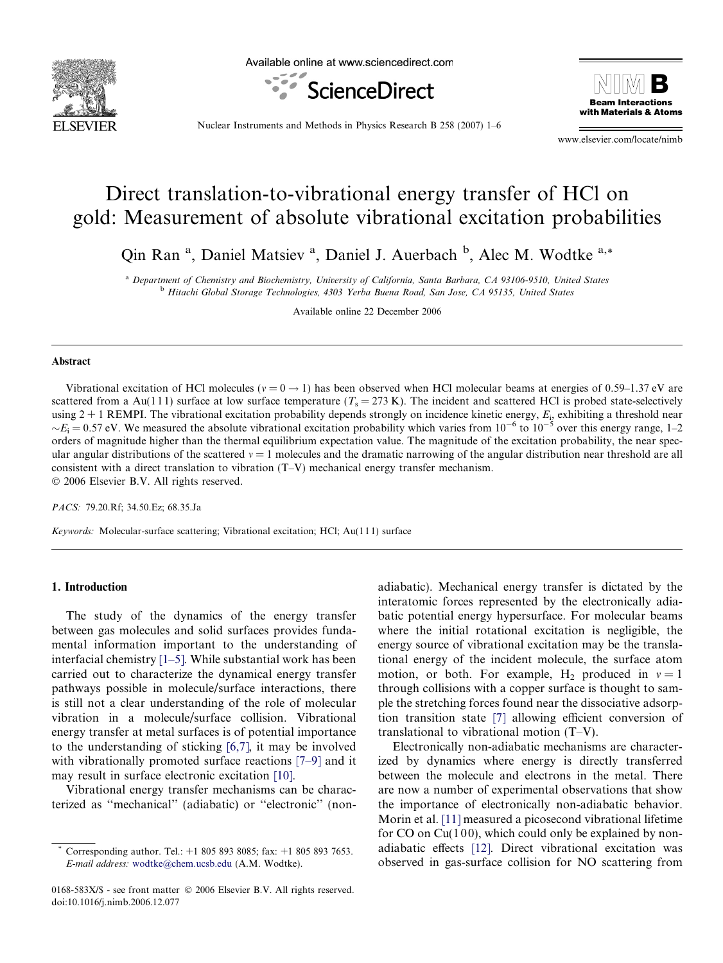

Available online at www.sciencedirect.com





Nuclear Instruments and Methods in Physics Research B 258 (2007) 1–6

www.elsevier.com/locate/nimb

# Direct translation-to-vibrational energy transfer of HCl on gold: Measurement of absolute vibrational excitation probabilities

Qin Ran<sup>a</sup>, Daniel Matsiev<sup>a</sup>, Daniel J. Auerbach <sup>b</sup>, Alec M. Wodtke<sup>a,\*</sup>

<sup>a</sup> Department of Chemistry and Biochemistry, University of California, Santa Barbara, CA 93106-9510, United States <sup>b</sup> Hitachi Global Storage Technologies, 4303 Yerba Buena Road, San Jose, CA 95135, United States

Available online 22 December 2006

#### Abstract

Vibrational excitation of HCl molecules ( $v = 0 \rightarrow 1$ ) has been observed when HCl molecular beams at energies of 0.59–1.37 eV are scattered from a Au(111) surface at low surface temperature  $(T_s = 273 \text{ K})$ . The incident and scattered HCl is probed state-selectively using  $2 + 1$  REMPI. The vibrational excitation probability depends strongly on incidence kinetic energy,  $E_i$ , exhibiting a threshold near  $E_i = 0.57$  eV. We measured the absolute vibrational excitation probability which varies from  $10^{-6}$  to  $10^{-5}$  over this energy range, 1–2 orders of magnitude higher than the thermal equilibrium expectation value. The magnitude of the excitation probability, the near specular angular distributions of the scattered  $v = 1$  molecules and the dramatic narrowing of the angular distribution near threshold are all consistent with a direct translation to vibration (T–V) mechanical energy transfer mechanism. © 2006 Elsevier B.V. All rights reserved.

PACS: 79.20.Rf; 34.50.Ez; 68.35.Ja

Keywords: Molecular-surface scattering; Vibrational excitation; HCl; Au(111) surface

## 1. Introduction

The study of the dynamics of the energy transfer between gas molecules and solid surfaces provides fundamental information important to the understanding of interfacial chemistry [\[1–5\].](#page-5-0) While substantial work has been carried out to characterize the dynamical energy transfer pathways possible in molecule/surface interactions, there is still not a clear understanding of the role of molecular vibration in a molecule/surface collision. Vibrational energy transfer at metal surfaces is of potential importance to the understanding of sticking [\[6,7\],](#page-5-0) it may be involved with vibrationally promoted surface reactions [\[7–9\]](#page-5-0) and it may result in surface electronic excitation [\[10\].](#page-5-0)

Vibrational energy transfer mechanisms can be characterized as ''mechanical'' (adiabatic) or ''electronic'' (nonadiabatic). Mechanical energy transfer is dictated by the interatomic forces represented by the electronically adiabatic potential energy hypersurface. For molecular beams where the initial rotational excitation is negligible, the energy source of vibrational excitation may be the translational energy of the incident molecule, the surface atom motion, or both. For example, H<sub>2</sub> produced in  $v = 1$ through collisions with a copper surface is thought to sample the stretching forces found near the dissociative adsorption transition state [\[7\]](#page-5-0) allowing efficient conversion of translational to vibrational motion (T–V).

Electronically non-adiabatic mechanisms are characterized by dynamics where energy is directly transferred between the molecule and electrons in the metal. There are now a number of experimental observations that show the importance of electronically non-adiabatic behavior. Morin et al. [\[11\]](#page-5-0) measured a picosecond vibrational lifetime for CO on Cu $(100)$ , which could only be explained by nonadiabatic effects [\[12\].](#page-5-0) Direct vibrational excitation was observed in gas-surface collision for NO scattering from

Corresponding author. Tel.:  $+1$  805 893 8085; fax:  $+1$  805 893 7653. E-mail address: [wodtke@chem.ucsb.edu](mailto:wodtke@chem.ucsb.edu) (A.M. Wodtke).

<sup>0168-583</sup>X/\$ - see front matter © 2006 Elsevier B.V. All rights reserved. doi:10.1016/j.nimb.2006.12.077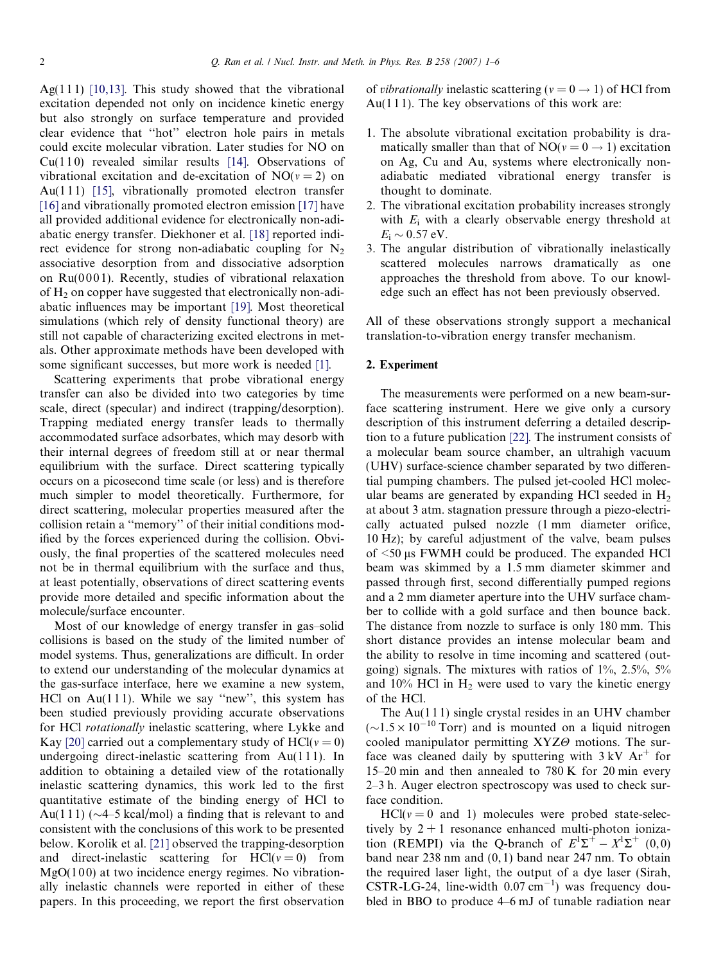Ag(111) [\[10,13\]](#page-5-0). This study showed that the vibrational excitation depended not only on incidence kinetic energy but also strongly on surface temperature and provided clear evidence that ''hot'' electron hole pairs in metals could excite molecular vibration. Later studies for NO on  $Cu(110)$  revealed similar results [\[14\].](#page-5-0) Observations of vibrational excitation and de-excitation of  $NO(v = 2)$  on Au(111) [\[15\],](#page-5-0) vibrationally promoted electron transfer [\[16\]](#page-5-0) and vibrationally promoted electron emission [\[17\]](#page-5-0) have all provided additional evidence for electronically non-adiabatic energy transfer. Diekhoner et al. [\[18\]](#page-5-0) reported indirect evidence for strong non-adiabatic coupling for  $N<sub>2</sub>$ associative desorption from and dissociative adsorption on  $Ru(0001)$ . Recently, studies of vibrational relaxation of  $H_2$  on copper have suggested that electronically non-adiabatic influences may be important [\[19\].](#page-5-0) Most theoretical simulations (which rely of density functional theory) are still not capable of characterizing excited electrons in metals. Other approximate methods have been developed with some significant successes, but more work is needed [\[1\].](#page-5-0)

Scattering experiments that probe vibrational energy transfer can also be divided into two categories by time scale, direct (specular) and indirect (trapping/desorption). Trapping mediated energy transfer leads to thermally accommodated surface adsorbates, which may desorb with their internal degrees of freedom still at or near thermal equilibrium with the surface. Direct scattering typically occurs on a picosecond time scale (or less) and is therefore much simpler to model theoretically. Furthermore, for direct scattering, molecular properties measured after the collision retain a ''memory'' of their initial conditions modified by the forces experienced during the collision. Obviously, the final properties of the scattered molecules need not be in thermal equilibrium with the surface and thus, at least potentially, observations of direct scattering events provide more detailed and specific information about the molecule/surface encounter.

Most of our knowledge of energy transfer in gas–solid collisions is based on the study of the limited number of model systems. Thus, generalizations are difficult. In order to extend our understanding of the molecular dynamics at the gas-surface interface, here we examine a new system, HCl on  $Au(111)$ . While we say "new", this system has been studied previously providing accurate observations for HCl rotationally inelastic scattering, where Lykke and Kay [\[20\]](#page-5-0) carried out a complementary study of HCl( $v = 0$ ) undergoing direct-inelastic scattering from Au(1 1 1). In addition to obtaining a detailed view of the rotationally inelastic scattering dynamics, this work led to the first quantitative estimate of the binding energy of HCl to Au(111) ( $\sim$ 4–5 kcal/mol) a finding that is relevant to and consistent with the conclusions of this work to be presented below. Korolik et al. [\[21\]](#page-5-0) observed the trapping-desorption and direct-inelastic scattering for  $\text{HCI}(v = 0)$  from  $MgO(100)$  at two incidence energy regimes. No vibrationally inelastic channels were reported in either of these papers. In this proceeding, we report the first observation

of *vibrationally* inelastic scattering ( $v = 0 \rightarrow 1$ ) of HCl from Au( $111$ ). The key observations of this work are:

- 1. The absolute vibrational excitation probability is dramatically smaller than that of  $NO(v = 0 \rightarrow 1)$  excitation on Ag, Cu and Au, systems where electronically nonadiabatic mediated vibrational energy transfer is thought to dominate.
- 2. The vibrational excitation probability increases strongly with  $E_i$  with a clearly observable energy threshold at  $E_{\rm i} \sim 0.57 \text{ eV}.$
- 3. The angular distribution of vibrationally inelastically scattered molecules narrows dramatically as one approaches the threshold from above. To our knowledge such an effect has not been previously observed.

All of these observations strongly support a mechanical translation-to-vibration energy transfer mechanism.

#### 2. Experiment

The measurements were performed on a new beam-surface scattering instrument. Here we give only a cursory description of this instrument deferring a detailed description to a future publication [\[22\]](#page-5-0). The instrument consists of a molecular beam source chamber, an ultrahigh vacuum (UHV) surface-science chamber separated by two differential pumping chambers. The pulsed jet-cooled HCl molecular beams are generated by expanding HCl seeded in  $H_2$ at about 3 atm. stagnation pressure through a piezo-electrically actuated pulsed nozzle (1 mm diameter orifice, 10 Hz); by careful adjustment of the valve, beam pulses of  $\leq$ 50 µs FWMH could be produced. The expanded HCl beam was skimmed by a 1.5 mm diameter skimmer and passed through first, second differentially pumped regions and a 2 mm diameter aperture into the UHV surface chamber to collide with a gold surface and then bounce back. The distance from nozzle to surface is only 180 mm. This short distance provides an intense molecular beam and the ability to resolve in time incoming and scattered (outgoing) signals. The mixtures with ratios of 1%, 2.5%, 5% and  $10\%$  HCl in  $H_2$  were used to vary the kinetic energy of the HCl.

The  $Au(111)$  single crystal resides in an UHV chamber  $({\sim}1.5 \times 10^{-10}$  Torr) and is mounted on a liquid nitrogen cooled manipulator permitting  $XYZ\Theta$  motions. The surface was cleaned daily by sputtering with  $3 kV \text{ Ar}^+$  for 15–20 min and then annealed to 780 K for 20 min every 2–3 h. Auger electron spectroscopy was used to check surface condition.

 $HCI(v = 0$  and 1) molecules were probed state-selectively by  $2 + 1$  resonance enhanced multi-photon ionization (REMPI) via the Q-branch of  $E^1\Sigma^+ - X^1\Sigma^+$  (0,0) band near 238 nm and (0, 1) band near 247 nm. To obtain the required laser light, the output of a dye laser (Sirah,  $CSTR-LG-24$ , line-width  $0.07 \text{ cm}^{-1}$ ) was frequency doubled in BBO to produce 4–6 mJ of tunable radiation near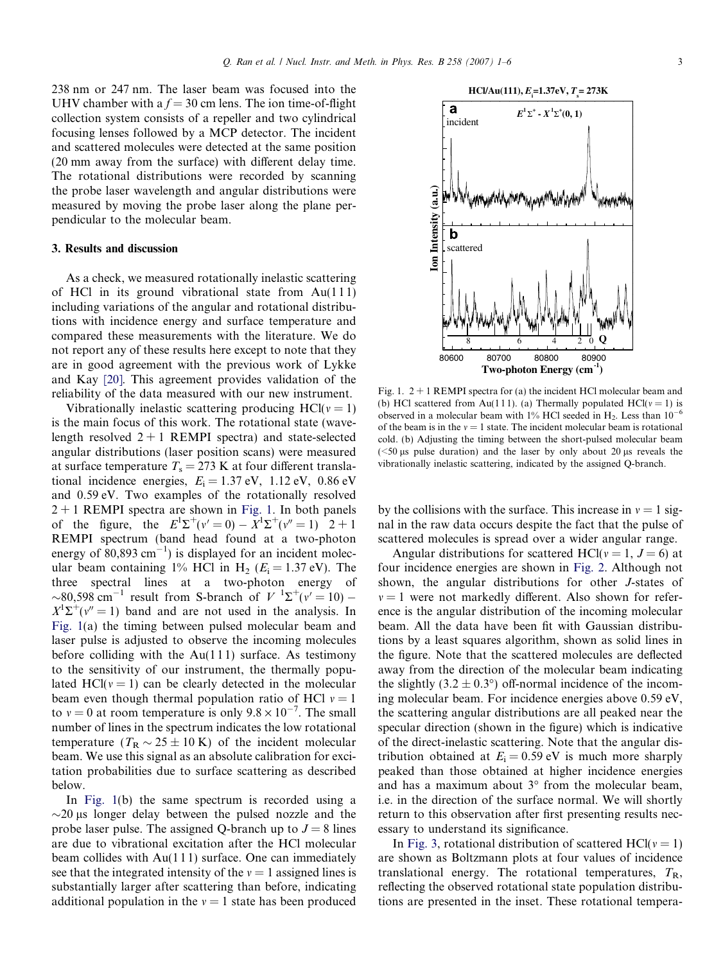238 nm or 247 nm. The laser beam was focused into the UHV chamber with a  $f = 30$  cm lens. The ion time-of-flight collection system consists of a repeller and two cylindrical focusing lenses followed by a MCP detector. The incident and scattered molecules were detected at the same position (20 mm away from the surface) with different delay time. The rotational distributions were recorded by scanning the probe laser wavelength and angular distributions were measured by moving the probe laser along the plane perpendicular to the molecular beam.

#### 3. Results and discussion

As a check, we measured rotationally inelastic scattering of HCl in its ground vibrational state from  $Au(111)$ including variations of the angular and rotational distributions with incidence energy and surface temperature and compared these measurements with the literature. We do not report any of these results here except to note that they are in good agreement with the previous work of Lykke and Kay [\[20\].](#page-5-0) This agreement provides validation of the reliability of the data measured with our new instrument.

Vibrationally inelastic scattering producing  $HCI(v = 1)$ is the main focus of this work. The rotational state (wavelength resolved  $2 + 1$  REMPI spectra) and state-selected angular distributions (laser position scans) were measured at surface temperature  $T_s = 273$  K at four different translational incidence energies,  $E_i = 1.37$  eV,  $1.12$  eV,  $0.86$  eV and 0.59 eV. Two examples of the rotationally resolved  $2 + 1$  REMPI spectra are shown in Fig. 1. In both panels of the figure, the  $E^1\Sigma^+(v'=0) - X^1\Sigma^+(v''=1)$   $2+1$ REMPI spectrum (band head found at a two-photon energy of  $\overline{80,893 \text{ cm}^{-1}}$ ) is displayed for an incident molecular beam containing 1% HCl in H<sub>2</sub> ( $E_i = 1.37$  eV). The three spectral lines at a two-photon energy of ~80,598 cm<sup>-1</sup> result from S-branch of  $V^{-1}\Sigma^+(v'=10)$  –  $X^1\Sigma^+(v^{\prime\prime}=1)$  band and are not used in the analysis. In Fig. 1(a) the timing between pulsed molecular beam and laser pulse is adjusted to observe the incoming molecules before colliding with the  $Au(111)$  surface. As testimony to the sensitivity of our instrument, the thermally populated HCl( $v = 1$ ) can be clearly detected in the molecular beam even though thermal population ratio of HCl  $v = 1$ to  $v = 0$  at room temperature is only  $9.8 \times 10^{-7}$ . The small number of lines in the spectrum indicates the low rotational temperature  $(T_R \sim 25 \pm 10 \text{ K})$  of the incident molecular beam. We use this signal as an absolute calibration for excitation probabilities due to surface scattering as described below.

In Fig. 1(b) the same spectrum is recorded using a  $\sim$ 20 µs longer delay between the pulsed nozzle and the probe laser pulse. The assigned Q-branch up to  $J = 8$  lines are due to vibrational excitation after the HCl molecular beam collides with  $Au(111)$  surface. One can immediately see that the integrated intensity of the  $v = 1$  assigned lines is substantially larger after scattering than before, indicating additional population in the  $v = 1$  state has been produced



Fig. 1.  $2 + 1$  REMPI spectra for (a) the incident HCl molecular beam and (b) HCl scattered from Au(111). (a) Thermally populated HCl( $v = 1$ ) is observed in a molecular beam with 1% HCl seeded in  $H_2$ . Less than  $10^{-6}$ of the beam is in the  $v = 1$  state. The incident molecular beam is rotational cold. (b) Adjusting the timing between the short-pulsed molecular beam  $\approx$  100 km s pulse duration) and the laser by only about 20 µs reveals the vibrationally inelastic scattering, indicated by the assigned Q-branch.

by the collisions with the surface. This increase in  $v = 1$  signal in the raw data occurs despite the fact that the pulse of scattered molecules is spread over a wider angular range.

Angular distributions for scattered HCl( $v = 1$ ,  $J = 6$ ) at four incidence energies are shown in [Fig. 2.](#page-3-0) Although not shown, the angular distributions for other J-states of  $v = 1$  were not markedly different. Also shown for reference is the angular distribution of the incoming molecular beam. All the data have been fit with Gaussian distributions by a least squares algorithm, shown as solid lines in the figure. Note that the scattered molecules are deflected away from the direction of the molecular beam indicating the slightly  $(3.2 \pm 0.3^{\circ})$  off-normal incidence of the incoming molecular beam. For incidence energies above 0.59 eV, the scattering angular distributions are all peaked near the specular direction (shown in the figure) which is indicative of the direct-inelastic scattering. Note that the angular distribution obtained at  $E_i = 0.59$  eV is much more sharply peaked than those obtained at higher incidence energies and has a maximum about  $3^{\circ}$  from the molecular beam, i.e. in the direction of the surface normal. We will shortly return to this observation after first presenting results necessary to understand its significance.

In [Fig. 3](#page-3-0), rotational distribution of scattered HCl( $v = 1$ ) are shown as Boltzmann plots at four values of incidence translational energy. The rotational temperatures,  $T_{\rm R}$ , reflecting the observed rotational state population distributions are presented in the inset. These rotational tempera-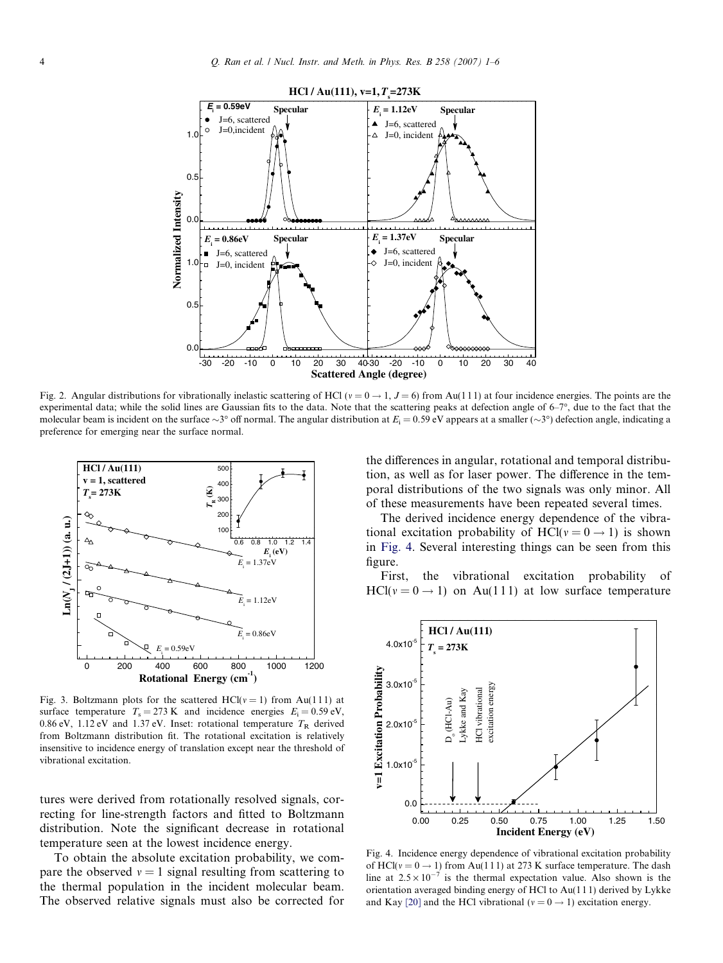<span id="page-3-0"></span>

Fig. 2. Angular distributions for vibrationally inelastic scattering of HCl ( $v = 0 \rightarrow 1$ ,  $J = 6$ ) from Au(111) at four incidence energies. The points are the experimental data; while the solid lines are Gaussian fits to the data. Note that the scattering peaks at defection angle of  $6-7^{\circ}$ , due to the fact that the molecular beam is incident on the surface  $\sim$ 3° off normal. The angular distribution at  $E_i$  = 0.59 eV appears at a smaller ( $\sim$ 3°) defection angle, indicating a preference for emerging near the surface normal.



Fig. 3. Boltzmann plots for the scattered HCl( $v = 1$ ) from Au(111) at surface temperature  $T_s = 273 \text{ K}$  and incidence energies  $E_i = 0.59 \text{ eV}$ , 0.86 eV, 1.12 eV and 1.37 eV. Inset: rotational temperature  $T_R$  derived from Boltzmann distribution fit. The rotational excitation is relatively insensitive to incidence energy of translation except near the threshold of vibrational excitation.

tures were derived from rotationally resolved signals, correcting for line-strength factors and fitted to Boltzmann distribution. Note the significant decrease in rotational temperature seen at the lowest incidence energy.

To obtain the absolute excitation probability, we compare the observed  $v = 1$  signal resulting from scattering to the thermal population in the incident molecular beam. The observed relative signals must also be corrected for the differences in angular, rotational and temporal distribution, as well as for laser power. The difference in the temporal distributions of the two signals was only minor. All of these measurements have been repeated several times.

The derived incidence energy dependence of the vibrational excitation probability of HCl( $v = 0 \rightarrow 1$ ) is shown in Fig. 4. Several interesting things can be seen from this figure.

First, the vibrational excitation probability of  $HCl(v = 0 \rightarrow 1)$  on Au(111) at low surface temperature



Fig. 4. Incidence energy dependence of vibrational excitation probability of HCl( $v = 0 \rightarrow 1$ ) from Au(111) at 273 K surface temperature. The dash line at  $2.5 \times 10^{-7}$  is the thermal expectation value. Also shown is the orientation averaged binding energy of HCl to Au(1 1 1) derived by Lykke and Kay [\[20\]](#page-5-0) and the HCl vibrational ( $v = 0 \rightarrow 1$ ) excitation energy.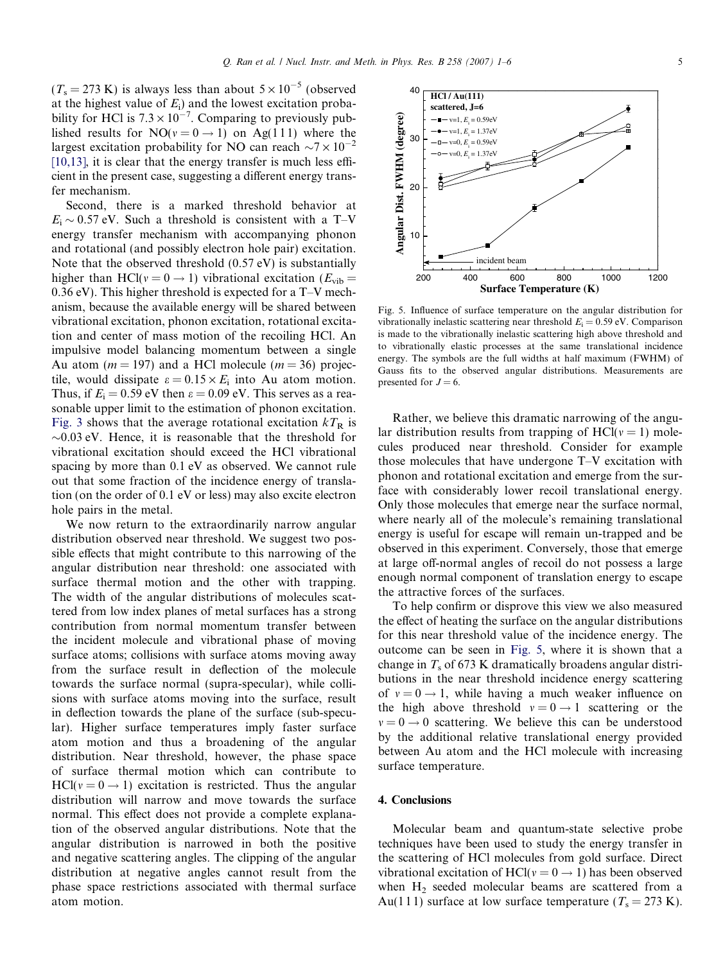40

 $(T_s = 273 \text{ K})$  is always less than about  $5 \times 10^{-5}$  (observed at the highest value of  $E_i$ ) and the lowest excitation probability for HCl is  $7.3 \times 10^{-7}$ . Comparing to previously published results for  $NO(v = 0 \rightarrow 1)$  on Ag(111) where the largest excitation probability for NO can reach  $\sim$ 7  $\times$  10<sup>-2</sup> [\[10,13\],](#page-5-0) it is clear that the energy transfer is much less efficient in the present case, suggesting a different energy transfer mechanism.

Second, there is a marked threshold behavior at  $E_i \sim 0.57$  eV. Such a threshold is consistent with a T-V energy transfer mechanism with accompanying phonon and rotational (and possibly electron hole pair) excitation. Note that the observed threshold (0.57 eV) is substantially higher than HCl( $v = 0 \rightarrow 1$ ) vibrational excitation ( $E_{vib}$  = 0.36 eV). This higher threshold is expected for a T–V mechanism, because the available energy will be shared between vibrational excitation, phonon excitation, rotational excitation and center of mass motion of the recoiling HCl. An impulsive model balancing momentum between a single Au atom ( $m = 197$ ) and a HCl molecule ( $m = 36$ ) projectile, would dissipate  $\varepsilon = 0.15 \times E_i$  into Au atom motion. Thus, if  $E_i = 0.59$  eV then  $\varepsilon = 0.09$  eV. This serves as a reasonable upper limit to the estimation of phonon excitation. [Fig. 3](#page-3-0) shows that the average rotational excitation  $kT_R$  is  $\sim$ 0.03 eV. Hence, it is reasonable that the threshold for vibrational excitation should exceed the HCl vibrational spacing by more than 0.1 eV as observed. We cannot rule out that some fraction of the incidence energy of translation (on the order of 0.1 eV or less) may also excite electron hole pairs in the metal.

We now return to the extraordinarily narrow angular distribution observed near threshold. We suggest two possible effects that might contribute to this narrowing of the angular distribution near threshold: one associated with surface thermal motion and the other with trapping. The width of the angular distributions of molecules scattered from low index planes of metal surfaces has a strong contribution from normal momentum transfer between the incident molecule and vibrational phase of moving surface atoms; collisions with surface atoms moving away from the surface result in deflection of the molecule towards the surface normal (supra-specular), while collisions with surface atoms moving into the surface, result in deflection towards the plane of the surface (sub-specular). Higher surface temperatures imply faster surface atom motion and thus a broadening of the angular distribution. Near threshold, however, the phase space of surface thermal motion which can contribute to  $HCl(v = 0 \rightarrow 1)$  excitation is restricted. Thus the angular distribution will narrow and move towards the surface normal. This effect does not provide a complete explanation of the observed angular distributions. Note that the angular distribution is narrowed in both the positive and negative scattering angles. The clipping of the angular distribution at negative angles cannot result from the phase space restrictions associated with thermal surface atom motion.



Fig. 5. Influence of surface temperature on the angular distribution for vibrationally inelastic scattering near threshold  $E_i = 0.59$  eV. Comparison is made to the vibrationally inelastic scattering high above threshold and to vibrationally elastic processes at the same translational incidence energy. The symbols are the full widths at half maximum (FWHM) of Gauss fits to the observed angular distributions. Measurements are presented for  $J = 6$ .

Rather, we believe this dramatic narrowing of the angular distribution results from trapping of  $\text{HCI}(v = 1)$  molecules produced near threshold. Consider for example those molecules that have undergone T–V excitation with phonon and rotational excitation and emerge from the surface with considerably lower recoil translational energy. Only those molecules that emerge near the surface normal, where nearly all of the molecule's remaining translational energy is useful for escape will remain un-trapped and be observed in this experiment. Conversely, those that emerge at large off-normal angles of recoil do not possess a large enough normal component of translation energy to escape the attractive forces of the surfaces.

To help confirm or disprove this view we also measured the effect of heating the surface on the angular distributions for this near threshold value of the incidence energy. The outcome can be seen in Fig. 5, where it is shown that a change in  $T_s$  of 673 K dramatically broadens angular distributions in the near threshold incidence energy scattering of  $v = 0 \rightarrow 1$ , while having a much weaker influence on the high above threshold  $v = 0 \rightarrow 1$  scattering or the  $v = 0 \rightarrow 0$  scattering. We believe this can be understood by the additional relative translational energy provided between Au atom and the HCl molecule with increasing surface temperature.

#### 4. Conclusions

Molecular beam and quantum-state selective probe techniques have been used to study the energy transfer in the scattering of HCl molecules from gold surface. Direct vibrational excitation of HCl( $v = 0 \rightarrow 1$ ) has been observed when  $H_2$  seeded molecular beams are scattered from a Au(111) surface at low surface temperature ( $T_s = 273$  K).